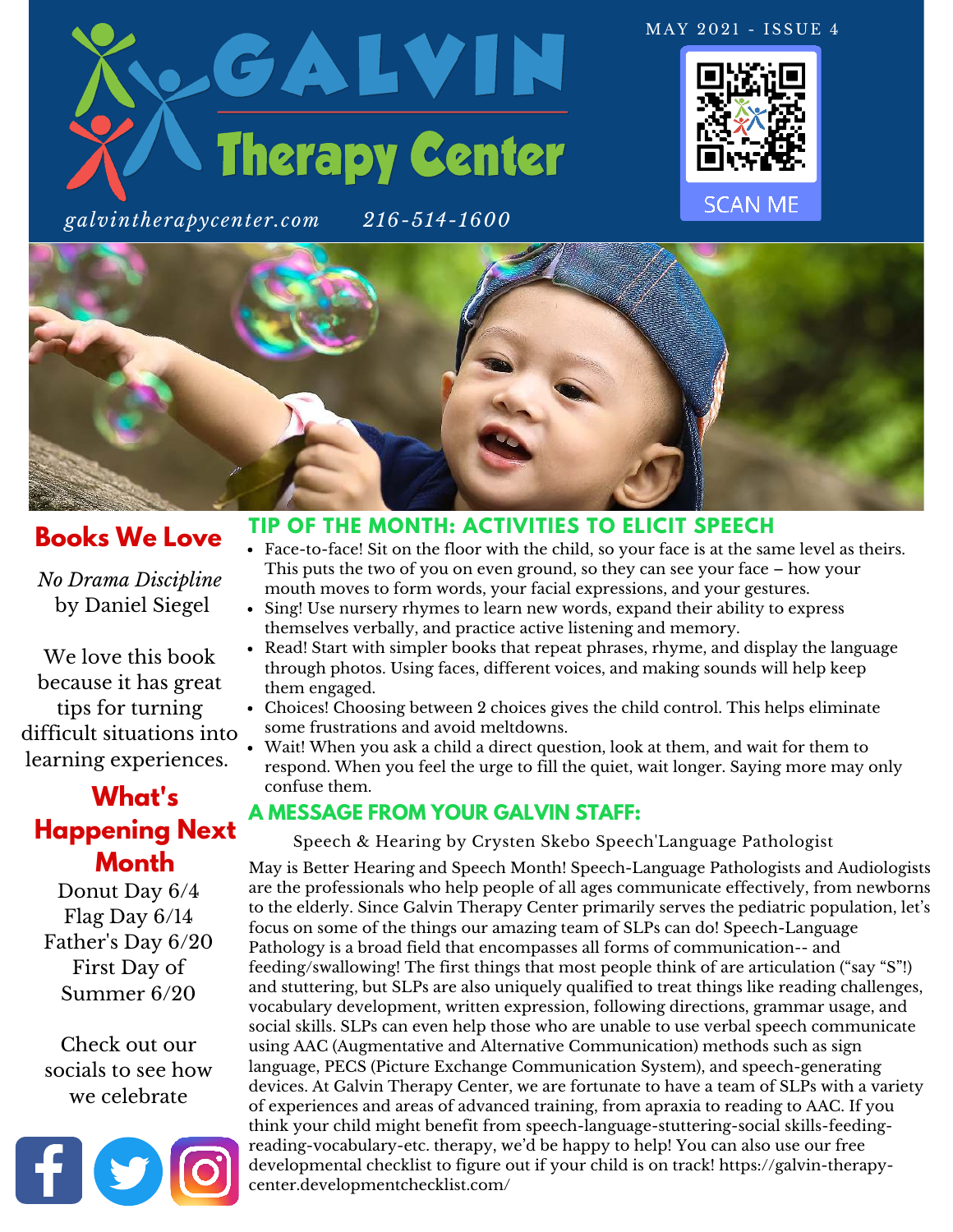

*galvintherapycenter.com 216-514-1600*





## **Books We Love**

*No Drama Discipline* by Daniel Siegel

We love this book because it has great tips for turning difficult situations into learning experiences.

## **What's Happening Next Month**

Donut Day 6/4 Flag Day 6/14 Father's Day 6/20 First Day of Summer 6/20

Check out our socials to see how we celebrate



#### **TIP OF THE MONTH: ACTIVITIES TO ELICIT SPEECH**

- Face-to-face! Sit on the floor with the child, so your face is at the same level as theirs. This puts the two of you on even ground, so they can see your face – how your mouth moves to form words, your facial expressions, and your gestures.
- Sing! Use nursery rhymes to learn new words, expand their ability to express themselves verbally, and practice active listening and memory.
- Read! Start with simpler books that repeat phrases, rhyme, and display the language through photos. Using faces, different voices, and making sounds will help keep them engaged.
- Choices! Choosing between 2 choices gives the child control. This helps eliminate some frustrations and avoid meltdowns.
- Wait! When you ask a child a direct question, look at them, and wait for them to respond. When you feel the urge to fill the quiet, wait longer. Saying more may only confuse them.

#### **A MESSAGE FROM YOUR GALVIN STAFF:**

Speech & Hearing by Crysten Skebo Speech'Language Pathologist

May is Better Hearing and Speech Month! Speech-Language Pathologists and Audiologists are the professionals who help people of all ages communicate effectively, from newborns to the elderly. Since Galvin Therapy Center primarily serves the pediatric population, let's focus on some of the things our amazing team of SLPs can do! Speech-Language Pathology is a broad field that encompasses all forms of communication-- and feeding/swallowing! The first things that most people think of are articulation ("say "S"!) and stuttering, but SLPs are also uniquely qualified to treat things like reading challenges, vocabulary development, written expression, following directions, grammar usage, and social skills. SLPs can even help those who are unable to use verbal speech communicate using AAC (Augmentative and Alternative Communication) methods such as sign language, PECS (Picture Exchange Communication System), and speech-generating devices. At Galvin Therapy Center, we are fortunate to have a team of SLPs with a variety of experiences and areas of advanced training, from apraxia to reading to AAC. If you think your child might benefit from speech-language-stuttering-social skills-feedingreading-vocabulary-etc. therapy, we'd be happy to help! You can also use our free [developmental checklist to figure out if your child is on track! https://galvin-therapy](https://galvin-therapy-center.developmentchecklist.com/)center.developmentchecklist.com/